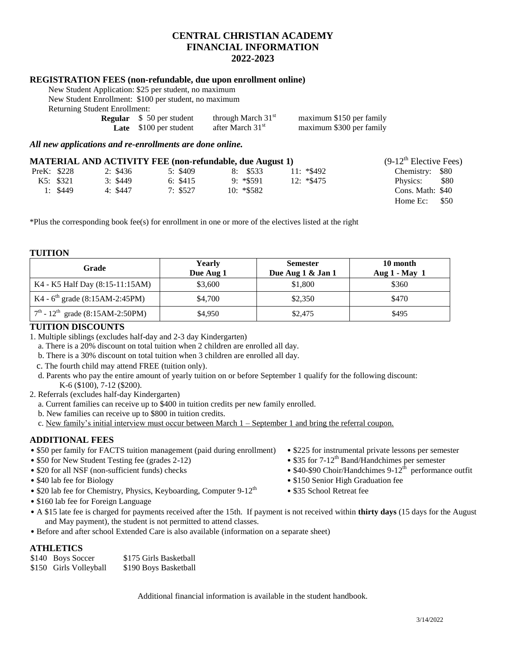## **CENTRAL CHRISTIAN ACADEMY FINANCIAL INFORMATION 2022-2023**

## **REGISTRATION FEES (non-refundable, due upon enrollment online)**

New Student Application: \$25 per student, no maximum

New Student Enrollment: \$100 per student, no maximum Returning Student Enrollment:

| <b>Regular</b> $\$ 50$ per student | through March 31 <sup>st</sup> | maximum \$150 per family |
|------------------------------------|--------------------------------|--------------------------|
| <b>Late</b> \$100 per student      | after March 31 <sup>st</sup>   | maximum \$300 per family |
|                                    |                                |                          |

*All new applications and re-enrollments are done online.*

|             |           |          |          | <b>MATERIAL AND ACTIVITY FEE (non-refundable, due August 1)</b> |              | $(9-12^{\text{th}})$ Elective Fees) |
|-------------|-----------|----------|----------|-----------------------------------------------------------------|--------------|-------------------------------------|
| PreK: \$228 |           | 2: \$436 | 5: \$409 | 8: \$533                                                        | $11: *\$492$ | Chemistry: \$80                     |
|             | K5: \$321 | 3: \$449 | 6: \$415 | $9: *$ \$591                                                    | $12: *\$475$ | \$80<br>Physics:                    |
|             | 1: $$449$ | 4: \$447 | 7: \$527 | $10: *$ \$582                                                   |              | Cons. Math: \$40                    |
|             |           |          |          |                                                                 |              | Home $Ec:$ \$50                     |

\*Plus the corresponding book fee(s) for enrollment in one or more of the electives listed at the right

#### **TUITION**

| Grade                                                    | Yearly<br>Due Aug 1 | <b>Semester</b><br>Due Aug 1 & Jan 1 | 10 month<br>Aug $1 - May 1$ |
|----------------------------------------------------------|---------------------|--------------------------------------|-----------------------------|
| K4 - K5 Half Day (8:15-11:15AM)                          | \$3,600             | \$1,800                              | \$360                       |
| K4 - $6^{\text{th}}$ grade (8:15AM-2:45PM)               | \$4,700             | \$2,350                              | \$470                       |
| $7^{\text{th}}$ - 12 <sup>th</sup> grade (8:15AM-2:50PM) | \$4,950             | \$2,475                              | \$495                       |

## **TUITION DISCOUNTS**

1. Multiple siblings (excludes half-day and 2-3 day Kindergarten)

a. There is a 20% discount on total tuition when 2 children are enrolled all day.

- b. There is a 30% discount on total tuition when 3 children are enrolled all day.
- c. The fourth child may attend FREE (tuition only).
- d. Parents who pay the entire amount of yearly tuition on or before September 1 qualify for the following discount: K-6 (\$100), 7-12 (\$200).
- 2. Referrals (excludes half-day Kindergarten)
	- a. Current families can receive up to \$400 in tuition credits per new family enrolled.
	- b. New families can receive up to \$800 in tuition credits.
	- c. New family's initial interview must occur between March  $1$  September 1 and bring the referral coupon.

## **ADDITIONAL FEES**

- \$50 per family for FACTS tuition management (paid during enrollment) \$225 for instrumental private lessons per semester
- 
- $\bullet$  \$20 for all NSF (non-sufficient funds) checks
- 
- \$20 lab fee for Chemistry, Physics, Keyboarding, Computer  $9-12^{th}$  \$35 School Retreat fee
- \$160 lab fee for Foreign Language
- A \$15 late fee is charged for payments received after the 15th. If payment is not received within **thirty days** (15 days for the August and May payment), the student is not permitted to attend classes.
- Before and after school Extended Care is also available (information on a separate sheet)

## **ATHLETICS**

| \$140 Boys Soccer      | \$175 Girls Basketball |
|------------------------|------------------------|
| \$150 Girls Volleyball | \$190 Boys Basketball  |

Additional financial information is available in the student handbook.

- 
- \$50 for New Student Testing fee (grades 2-12) \$35 for 7-12<sup>th</sup> Band/Handchimes per semester
	- $$40-$90 Choir/Handchimes 9-12<sup>th</sup> performance outfit$
- \$40 lab fee for Biology  **\$150 Senior High Graduation fee** 
	-